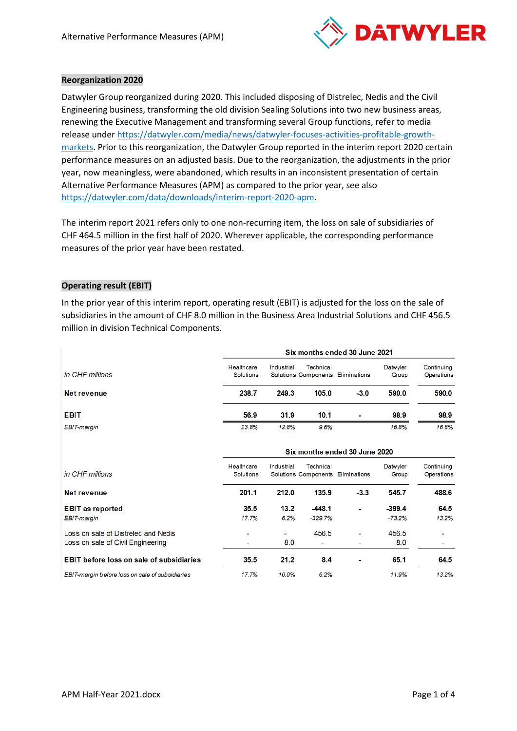

## **Reorganization 2020**

Datwyler Group reorganized during 2020. This included disposing of Distrelec, Nedis and the Civil Engineering business, transforming the old division Sealing Solutions into two new business areas, renewing the Executive Management and transforming several Group functions, refer to media release under [https://datwyler.com/media/news/datwyler-focuses-activities-profitable-growth](https://datwyler.com/media/news/datwyler-focuses-activities-profitable-growth-markets)[markets.](https://datwyler.com/media/news/datwyler-focuses-activities-profitable-growth-markets) Prior to this reorganization, the Datwyler Group reported in the interim report 2020 certain performance measures on an adjusted basis. Due to the reorganization, the adjustments in the prior year, now meaningless, were abandoned, which results in an inconsistent presentation of certain Alternative Performance Measures (APM) as compared to the prior year, see also [https://datwyler.com/data/downloads/interim-report-2020-apm.](https://datwyler.com/data/downloads/interim-report-2020-apm)

The interim report 2021 refers only to one non-recurring item, the loss on sale of subsidiaries of CHF 464.5 million in the first half of 2020. Wherever applicable, the corresponding performance measures of the prior year have been restated.

## **Operating result (EBIT)**

In the prior year of this interim report, operating result (EBIT) is adjusted for the loss on the sale of subsidiaries in the amount of CHF 8.0 million in the Business Area Industrial Solutions and CHF 456.5 million in division Technical Components.

|                    |                                | Six months ended 30 June 2021 |           |                                   |                   |                                 |  |
|--------------------|--------------------------------|-------------------------------|-----------|-----------------------------------|-------------------|---------------------------------|--|
| in CHF millions    | Healthcare<br><b>Solutions</b> | Industrial                    | Technical | Solutions Components Eliminations | Datwyler<br>Group | Continuing<br><b>Operations</b> |  |
| Net revenue        | 238.7                          | 249.3                         | 105.0     | $-3.0$                            | 590.0             | 590.0                           |  |
| <b>EBIT</b>        | 56.9                           | 31.9                          | 10.1      | ٠                                 | 98.9              | 98.9                            |  |
| <b>EBIT-margin</b> | 23.8%                          | 12.8%                         | 9.6%      |                                   | 16.8%             | 16.8%                           |  |

|                                                                          | Six months ended 30 June 2020  |              |                                                |        |                      |                          |  |
|--------------------------------------------------------------------------|--------------------------------|--------------|------------------------------------------------|--------|----------------------|--------------------------|--|
| in CHF millions                                                          | Healthcare<br><b>Solutions</b> | Industrial   | Technical<br>Solutions Components Eliminations |        | Datwyler<br>Group    | Continuing<br>Operations |  |
| Net revenue                                                              | 201.1                          | 212.0        | 135.9                                          | $-3.3$ | 545.7                | 488.6                    |  |
| <b>EBIT</b> as reported<br><b>EBIT</b> margin                            | 35.5<br>17.7%                  | 13.2<br>6.2% | $-448.1$<br>$-329.7%$                          | ۰      | $-399.4$<br>$-73.2%$ | 64.5<br>13.2%            |  |
| Loss on sale of Distrelec and Nedis<br>Loss on sale of Civil Engineering | -                              | ٠<br>8.0     | 456.5<br>$\overline{\phantom{a}}$              | ۰<br>٠ | 456.5<br>8.0         |                          |  |
| <b>EBIT</b> before loss on sale of subsidiaries                          | 35.5                           | 21.2         | 8.4                                            | ٠      | 65.1                 | 64.5                     |  |
| EBIT-margin before loss on sale of subsidiaries                          | 17.7%                          | 10.0%        | 6.2%                                           |        | 11.9%                | 13.2%                    |  |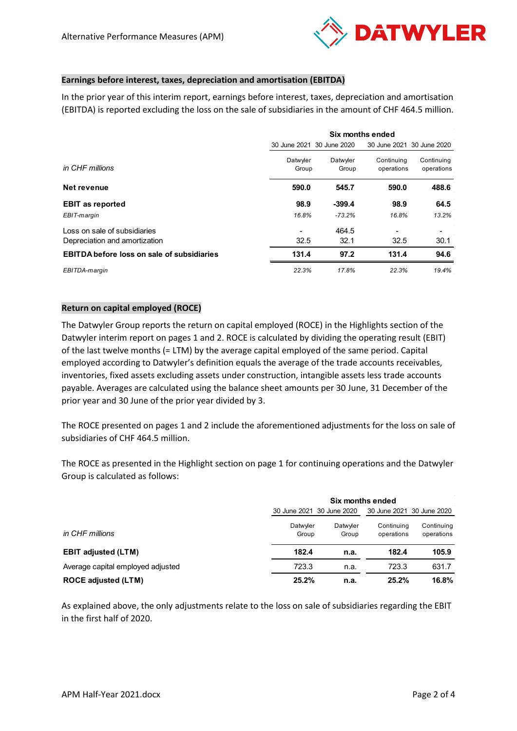

## **Earnings before interest, taxes, depreciation and amortisation (EBITDA)**

In the prior year of this interim report, earnings before interest, taxes, depreciation and amortisation (EBITDA) is reported excluding the loss on the sale of subsidiaries in the amount of CHF 464.5 million.

|                                                   | Six months ended          |                   |                          |                           |  |
|---------------------------------------------------|---------------------------|-------------------|--------------------------|---------------------------|--|
|                                                   | 30 June 2021 30 June 2020 |                   |                          | 30 June 2021 30 June 2020 |  |
| in CHF millions                                   | Datwyler<br>Group         | Datwyler<br>Group | Continuing<br>operations | Continuing<br>operations  |  |
| Net revenue                                       | 590.0                     | 545.7             | 590.0                    | 488.6                     |  |
| <b>EBIT as reported</b>                           | 98.9                      | $-399.4$          | 98.9                     | 64.5                      |  |
| EBIT-margin                                       | 16.8%                     | $-73.2%$          | 16.8%                    | 13.2%                     |  |
| Loss on sale of subsidiaries                      |                           | 464.5             |                          |                           |  |
| Depreciation and amortization                     | 32.5                      | 32.1              | 32.5                     | 30.1                      |  |
| <b>EBITDA before loss on sale of subsidiaries</b> | 131.4                     | 97.2              | 131.4                    | 94.6                      |  |
| EBITDA-margin                                     | 22.3%                     | 17.8%             | 22.3%                    | 19.4%                     |  |

## **Return on capital employed (ROCE)**

The Datwyler Group reports the return on capital employed (ROCE) in the Highlights section of the Datwyler interim report on pages 1 and 2. ROCE is calculated by dividing the operating result (EBIT) of the last twelve months (= LTM) by the average capital employed of the same period. Capital employed according to Datwyler's definition equals the average of the trade accounts receivables, inventories, fixed assets excluding assets under construction, intangible assets less trade accounts payable. Averages are calculated using the balance sheet amounts per 30 June, 31 December of the prior year and 30 June of the prior year divided by 3.

The ROCE presented on pages 1 and 2 include the aforementioned adjustments for the loss on sale of subsidiaries of CHF 464.5 million.

The ROCE as presented in the Highlight section on page 1 for continuing operations and the Datwyler Group is calculated as follows:

|                                   | Six months ended          |                   |                           |                          |  |
|-----------------------------------|---------------------------|-------------------|---------------------------|--------------------------|--|
|                                   | 30 June 2021 30 June 2020 |                   | 30 June 2021 30 June 2020 |                          |  |
| in CHF millions                   | Datwyler<br>Group         | Datwyler<br>Group | Continuing<br>operations  | Continuing<br>operations |  |
| <b>EBIT adjusted (LTM)</b>        | 182.4                     | n.a.              | 182.4                     | 105.9                    |  |
| Average capital employed adjusted | 723.3                     | n.a.              | 723.3                     | 631.7                    |  |
| <b>ROCE adjusted (LTM)</b>        | 25.2%                     | n.a.              | 25.2%                     | 16.8%                    |  |

As explained above, the only adjustments relate to the loss on sale of subsidiaries regarding the EBIT in the first half of 2020.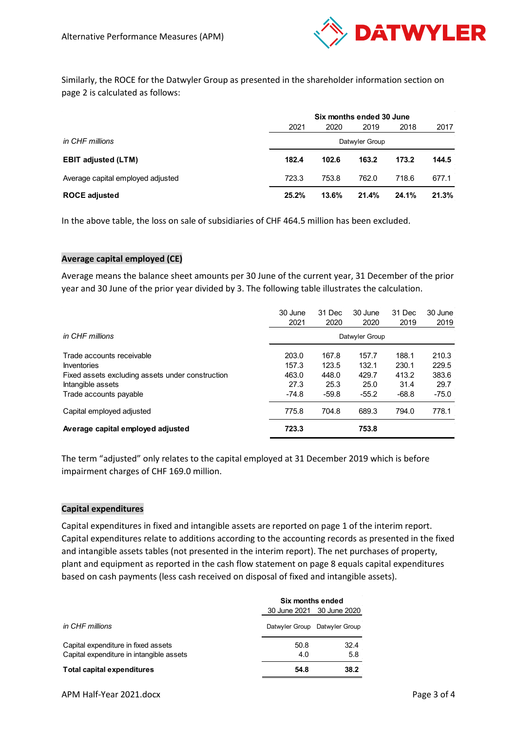

Similarly, the ROCE for the Datwyler Group as presented in the shareholder information section on page 2 is calculated as follows:

|                                   |                | Six months ended 30 June |       |       |       |  |
|-----------------------------------|----------------|--------------------------|-------|-------|-------|--|
|                                   | 2021           | 2020                     | 2019  | 2018  | 2017  |  |
| in CHF millions                   | Datwyler Group |                          |       |       |       |  |
| <b>EBIT adjusted (LTM)</b>        | 182.4          | 102.6                    | 163.2 | 173.2 | 144.5 |  |
| Average capital employed adjusted | 723.3          | 753.8                    | 762.0 | 718.6 | 677.1 |  |
| <b>ROCE adjusted</b>              | 25.2%          | 13.6%                    | 21.4% | 24.1% | 21.3% |  |

In the above table, the loss on sale of subsidiaries of CHF 464.5 million has been excluded.

## **Average capital employed (CE)**

Average means the balance sheet amounts per 30 June of the current year, 31 December of the prior year and 30 June of the prior year divided by 3. The following table illustrates the calculation.

|                                                  | 30 June | 31 Dec  | 30 June        | 31 Dec  | 30 June |
|--------------------------------------------------|---------|---------|----------------|---------|---------|
|                                                  | 2021    | 2020    | 2020           | 2019    | 2019    |
| in CHF millions                                  |         |         | Datwyler Group |         |         |
| Trade accounts receivable                        | 203.0   | 167.8   | 157.7          | 188.1   | 210.3   |
| <b>Inventories</b>                               | 157.3   | 123.5   | 132.1          | 230.1   | 229.5   |
| Fixed assets excluding assets under construction | 463.0   | 448.0   | 429.7          | 413.2   | 383.6   |
| Intangible assets                                | 27.3    | 25.3    | 25.0           | 31.4    | 29.7    |
| Trade accounts payable                           | $-74.8$ | $-59.8$ | $-55.2$        | $-68.8$ | $-75.0$ |
| Capital employed adjusted                        | 775.8   | 704.8   | 689.3          | 794.0   | 778.1   |
| Average capital employed adjusted                | 723.3   |         | 753.8          |         |         |

The term "adjusted" only relates to the capital employed at 31 December 2019 which is before impairment charges of CHF 169.0 million.

#### **Capital expenditures**

Capital expenditures in fixed and intangible assets are reported on page 1 of the interim report. Capital expenditures relate to additions according to the accounting records as presented in the fixed and intangible assets tables (not presented in the interim report). The net purchases of property, plant and equipment as reported in the cash flow statement on page 8 equals capital expenditures based on cash payments (less cash received on disposal of fixed and intangible assets).

|                                                                                 | Six months ended |                               |  |  |
|---------------------------------------------------------------------------------|------------------|-------------------------------|--|--|
|                                                                                 |                  | 30 June 2021 30 June 2020     |  |  |
| in CHF millions                                                                 |                  | Datwyler Group Datwyler Group |  |  |
| Capital expenditure in fixed assets<br>Capital expenditure in intangible assets | 50.8<br>4.0      | 32.4<br>5.8                   |  |  |
| Total capital expenditures                                                      | 54.8             | 38.2                          |  |  |